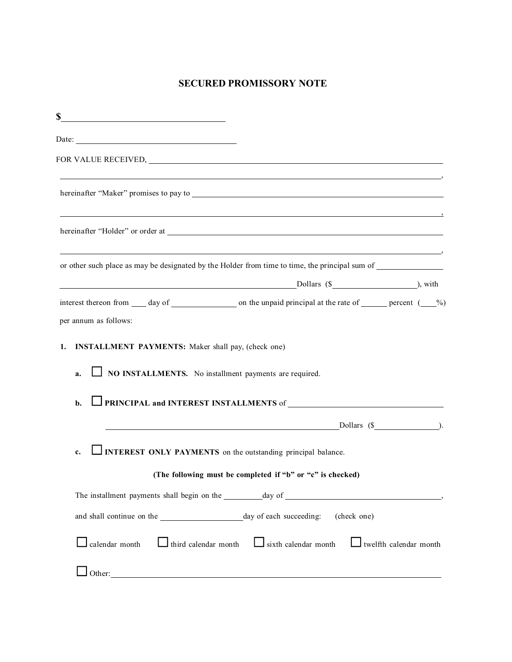## **SECURED PROMISSORY NOTE**

| \$                                                                 |                                                                                                                                                                                                                                |  |
|--------------------------------------------------------------------|--------------------------------------------------------------------------------------------------------------------------------------------------------------------------------------------------------------------------------|--|
| Date: $\qquad \qquad$                                              |                                                                                                                                                                                                                                |  |
|                                                                    | FOR VALUE RECEIVED, NORTH STATES AND THE RECEIVED, NORTH STATES AND THE RECEIVED, NORTH STATES AND THE RECEIVED, NORTH STATES AND THE RECEIVED, NORTH STATES AND THE RECEIVED, NORTH STATES AND THE RECEIVED, NORTH STATES AND |  |
|                                                                    |                                                                                                                                                                                                                                |  |
|                                                                    |                                                                                                                                                                                                                                |  |
|                                                                    | or other such place as may be designated by the Holder from time to time, the principal sum of _______________                                                                                                                 |  |
|                                                                    |                                                                                                                                                                                                                                |  |
| per annum as follows:                                              | interest thereon from $\_\_\_$ day of $\_\_\_\_\_\_\$ on the unpaid principal at the rate of $\_\_\_\_\_\_\$ percent $\_\_\_$                                                                                                  |  |
| 1.<br><b>INSTALLMENT PAYMENTS:</b> Maker shall pay, (check one)    |                                                                                                                                                                                                                                |  |
| NO INSTALLMENTS. No installment payments are required.<br>a.       |                                                                                                                                                                                                                                |  |
| b.                                                                 |                                                                                                                                                                                                                                |  |
|                                                                    | $Dollars ($ $)$                                                                                                                                                                                                                |  |
| INTEREST ONLY PAYMENTS on the outstanding principal balance.<br>c. |                                                                                                                                                                                                                                |  |
|                                                                    | (The following must be completed if "b" or "c" is checked)                                                                                                                                                                     |  |
|                                                                    |                                                                                                                                                                                                                                |  |
|                                                                    |                                                                                                                                                                                                                                |  |
|                                                                    | $\Box$ calendar month $\Box$ third calendar month $\Box$ sixth calendar month $\Box$ twelfth calendar month                                                                                                                    |  |
|                                                                    |                                                                                                                                                                                                                                |  |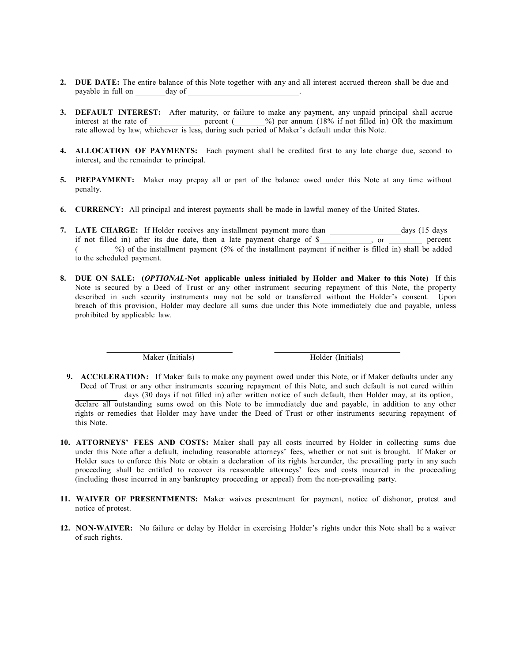- **2. DUE DATE:** The entire balance of this Note together with any and all interest accrued thereon shall be due and payable in full on day of .
- **3. DEFAULT INTEREST:** After maturity, or failure to make any payment, any unpaid principal shall accrue interest at the rate of percent (  $\frac{\%}{\%}$  per annum (18% if not filled in) OR the maximum rate allowed by law, whichever is less, during such period of Maker's default under this Note.
- **4. ALLOCATION OF PAYMENTS:** Each payment shall be credited first to any late charge due, second to interest, and the remainder to principal.
- **5. PREPAYMENT:** Maker may prepay all or part of the balance owed under this Note at any time without penalty.
- **6. CURRENCY:** All principal and interest payments shall be made in lawful money of the United States.
- **7. LATE CHARGE:** If Holder receives any installment payment more than days (15 days if not filled in) after its due date, then a late payment charge of  $\sqrt{s}$  , or percent ( \_%) of the installment payment (5% of the installment payment if neither is filled in) shall be added to the scheduled payment.
- **8. DUE ON SALE: (***OPTIONAL***-Not applicable unless initialed by Holder and Maker to this Note)** If this Note is secured by a Deed of Trust or any other instrument securing repayment of this Note, the property described in such security instruments may not be sold or transferred without the Holder's consent. Upon breach of this provision, Holder may declare all sums due under this Note immediately due and payable, unless prohibited by applicable law.

Maker (Initials) Holder (Initials)

**9. ACCELERATION:** If Maker fails to make any payment owed under this Note, or if Maker defaults under any Deed of Trust or any other instruments securing repayment of this Note, and such default is not cured within days (30 days if not filled in) after written notice of such default, then Holder may, at its option,

declare all outstanding sums owed on this Note to be immediately due and payable, in addition to any other rights or remedies that Holder may have under the Deed of Trust or other instruments securing repayment of this Note.

- **10. ATTORNEYS' FEES AND COSTS:** Maker shall pay all costs incurred by Holder in collecting sums due under this Note after a default, including reasonable attorneys' fees, whether or not suit is brought. If Maker or Holder sues to enforce this Note or obtain a declaration of its rights hereunder, the prevailing party in any such proceeding shall be entitled to recover its reasonable attorneys' fees and costs incurred in the proceeding (including those incurred in any bankruptcy proceeding or appeal) from the non-prevailing party.
- **11. WAIVER OF PRESENTMENTS:** Maker waives presentment for payment, notice of dishonor, protest and notice of protest.
- **12. NON-WAIVER:** No failure or delay by Holder in exercising Holder's rights under this Note shall be a waiver of such rights.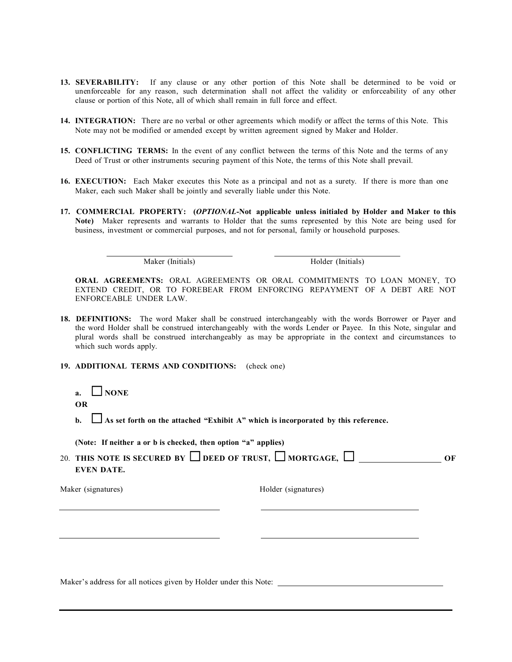- **13. SEVERABILITY:** If any clause or any other portion of this Note shall be determined to be void or unenforceable for any reason, such determination shall not affect the validity or enforceability of any other clause or portion of this Note, all of which shall remain in full force and effect.
- **14. INTEGRATION:** There are no verbal or other agreements which modify or affect the terms of this Note. This Note may not be modified or amended except by written agreement signed by Maker and Holder.
- **15. CONFLICTING TERMS:** In the event of any conflict between the terms of this Note and the terms of any Deed of Trust or other instruments securing payment of this Note, the terms of this Note shall prevail.
- **16. EXECUTION:** Each Maker executes this Note as a principal and not as a surety. If there is more than one Maker, each such Maker shall be jointly and severally liable under this Note.
- **17. COMMERCIAL PROPERTY: (***OPTIONAL***-Not applicable unless initialed by Holder and Maker to this Note)** Maker represents and warrants to Holder that the sums represented by this Note are being used for business, investment or commercial purposes, and not for personal, family or household purposes.

Maker (Initials) Holder (Initials)

**ORAL AGREEMENTS:** ORAL AGREEMENTS OR ORAL COMMITMENTS TO LOAN MONEY, TO EXTEND CREDIT, OR TO FOREBEAR FROM ENFORCING REPAYMENT OF A DEBT ARE NOT ENFORCEABLE UNDER LAW.

- **18. DEFINITIONS:** The word Maker shall be construed interchangeably with the words Borrower or Payer and the word Holder shall be construed interchangeably with the words Lender or Payee. In this Note, singular and plural words shall be construed interchangeably as may be appropriate in the context and circumstances to which such words apply.
- **19. ADDITIONAL TERMS AND CONDITIONS:** (check one)
	- **a.**  $\Box$ **NONE OR**
	- **b. □** As set forth on the attached "Exhibit A" which is incorporated by this reference.

|  | (Note: If neither a or b is checked, then option "a" applies) |  |  |  |  |
|--|---------------------------------------------------------------|--|--|--|--|
|  |                                                               |  |  |  |  |

| 20. THIS NOTE IS SECURED BY $\Box$ DEED OF TRUST, $\Box$ MORTGAGE, $\Box$ |  |
|---------------------------------------------------------------------------|--|
| EVEN DATE.                                                                |  |

Maker (signatures) Holder (signatures)

Maker's address for all notices given by Holder under this Note: